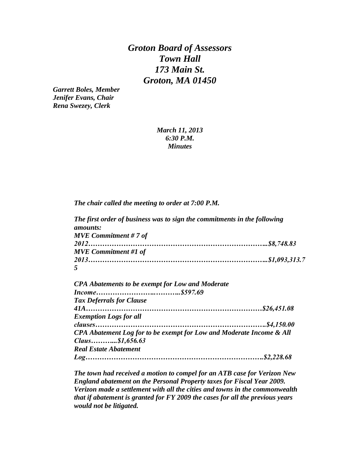*Groton Board of Assessors Town Hall 173 Main St. Groton, MA 01450*

*Garrett Boles, Member Jenifer Evans, Chair Rena Swezey, Clerk*

## *March 11, 2013 6:30 P.M. Minutes*

*The chair called the meeting to order at 7:00 P.M.*

*The first order of business was to sign the commitments in the following amounts: MVE Commitment # 7 of 2012…………………………………………………………………..\$8,748.83 MVE Commitment #1 of 2013…………………………………………………………………..\$1,093,313.7 5*

| <b>CPA Abatements to be exempt for Low and Moderate</b>              |  |
|----------------------------------------------------------------------|--|
|                                                                      |  |
| <b>Tax Deferrals for Clause</b>                                      |  |
|                                                                      |  |
| <b>Exemption Logs for all</b>                                        |  |
|                                                                      |  |
| CPA Abatement Log for to be exempt for Low and Moderate Income & All |  |
| $Claus$ \$1,656.63                                                   |  |
| <b>Real Estate Abatement</b>                                         |  |
|                                                                      |  |

*The town had received a motion to compel for an ATB case for Verizon New England abatement on the Personal Property taxes for Fiscal Year 2009. Verizon made a settlement with all the cities and towns in the commonwealth that if abatement is granted for FY 2009 the cases for all the previous years would not be litigated.*